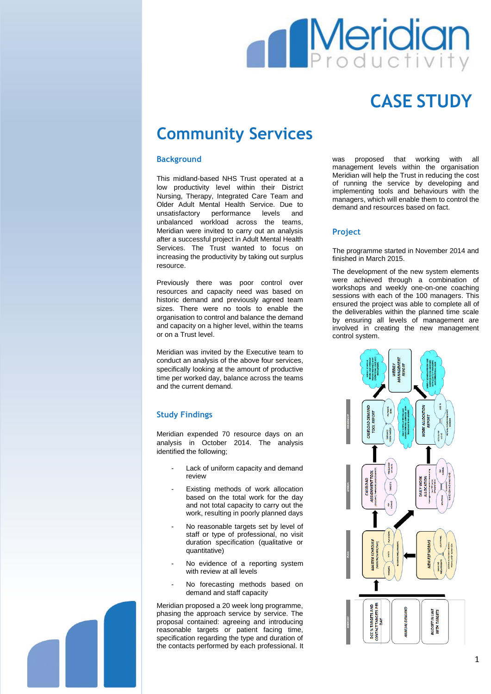# **Meridia**

## **CASE STUDY**

### **Community Services**

#### **Background**

This midland-based NHS Trust operated at a low productivity level within their District Nursing, Therapy, Integrated Care Team and Older Adult Mental Health Service. Due to unsatisfactory performance levels and unbalanced workload across the teams, Meridian were invited to carry out an analysis after a successful project in Adult Mental Health Services. The Trust wanted to focus on increasing the productivity by taking out surplus resource.

Previously there was poor control over resources and capacity need was based on historic demand and previously agreed team sizes. There were no tools to enable the organisation to control and balance the demand and capacity on a higher level, within the teams or on a Trust level.

Meridian was invited by the Executive team to conduct an analysis of the above four services, specifically looking at the amount of productive time per worked day, balance across the teams and the current demand.

#### **Study Findings**

Meridian expended 70 resource days on an analysis in October 2014. The analysis identified the following;

- Lack of uniform capacity and demand review
- Existing methods of work allocation based on the total work for the day and not total capacity to carry out the work, resulting in poorly planned days
- No reasonable targets set by level of staff or type of professional, no visit duration specification (qualitative or quantitative)
- No evidence of a reporting system with review at all levels
- No forecasting methods based on demand and staff capacity

Meridian proposed a 20 week long programme, phasing the approach service by service. The proposal contained: agreeing and introducing reasonable targets or patient facing time, specification regarding the type and duration of the contacts performed by each professional. It was proposed that working with all management levels within the organisation Meridian will help the Trust in reducing the cost of running the service by developing and implementing tools and behaviours with the managers, which will enable them to control the demand and resources based on fact.

#### **Project**

The programme started in November 2014 and finished in March 2015.

The development of the new system elements were achieved through a combination of workshops and weekly one-on-one coaching sessions with each of the 100 managers. This ensured the project was able to complete all of the deliverables within the planned time scale by ensuring all levels of management are involved in creating the new management control system.